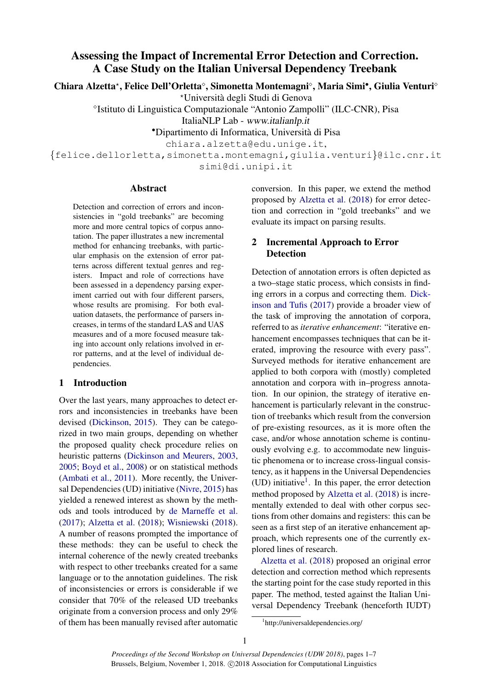# Assessing the Impact of Incremental Error Detection and Correction. A Case Study on the Italian Universal Dependency Treebank

Chiara Alzetta\*, Felice Dell'Orletta°, Simonetta Montemagni°, Maria Simi•, Giulia Venturi°

?Universita degli Studi di Genova `

<sup>o</sup>Istituto di Linguistica Computazionale "Antonio Zampolli" (ILC-CNR), Pisa

ItaliaNLP Lab - www.italianlp.it

•Dipartimento di Informatica, Universita di Pisa `

chiara.alzetta@edu.unige.it,

{felice.dellorletta,simonetta.montemagni,giulia.venturi}@ilc.cnr.it simi@di.unipi.it

#### Abstract

Detection and correction of errors and inconsistencies in "gold treebanks" are becoming more and more central topics of corpus annotation. The paper illustrates a new incremental method for enhancing treebanks, with particular emphasis on the extension of error patterns across different textual genres and registers. Impact and role of corrections have been assessed in a dependency parsing experiment carried out with four different parsers, whose results are promising. For both evaluation datasets, the performance of parsers increases, in terms of the standard LAS and UAS measures and of a more focused measure taking into account only relations involved in error patterns, and at the level of individual dependencies.

## 1 Introduction

Over the last years, many approaches to detect errors and inconsistencies in treebanks have been devised [\(Dickinson,](#page-5-0) [2015\)](#page-5-0). They can be categorized in two main groups, depending on whether the proposed quality check procedure relies on heuristic patterns [\(Dickinson and Meurers,](#page-5-1) [2003,](#page-5-1) [2005;](#page-5-2) [Boyd et al.,](#page-5-3) [2008\)](#page-5-3) or on statistical methods [\(Ambati et al.,](#page-5-4) [2011\)](#page-5-4). More recently, the Universal Dependencies (UD) initiative [\(Nivre,](#page-6-0) [2015\)](#page-6-0) has yielded a renewed interest as shown by the methods and tools introduced by [de Marneffe et al.](#page-5-5) [\(2017\)](#page-5-5); [Alzetta et al.](#page-5-6) [\(2018\)](#page-5-6); [Wisniewski](#page-6-1) [\(2018\)](#page-6-1). A number of reasons prompted the importance of these methods: they can be useful to check the internal coherence of the newly created treebanks with respect to other treebanks created for a same language or to the annotation guidelines. The risk of inconsistencies or errors is considerable if we consider that 70% of the released UD treebanks originate from a conversion process and only 29% of them has been manually revised after automatic

conversion. In this paper, we extend the method proposed by [Alzetta et al.](#page-5-6) [\(2018\)](#page-5-6) for error detection and correction in "gold treebanks" and we evaluate its impact on parsing results.

# <span id="page-0-1"></span>2 Incremental Approach to Error **Detection**

Detection of annotation errors is often depicted as a two–stage static process, which consists in finding errors in a corpus and correcting them. [Dick](#page-5-7)[inson and Tufis](#page-5-7) [\(2017\)](#page-5-7) provide a broader view of the task of improving the annotation of corpora, referred to as *iterative enhancement*: "iterative enhancement encompasses techniques that can be iterated, improving the resource with every pass". Surveyed methods for iterative enhancement are applied to both corpora with (mostly) completed annotation and corpora with in–progress annotation. In our opinion, the strategy of iterative enhancement is particularly relevant in the construction of treebanks which result from the conversion of pre-existing resources, as it is more often the case, and/or whose annotation scheme is continuously evolving e.g. to accommodate new linguistic phenomena or to increase cross-lingual consistency, as it happens in the Universal Dependencies (UD) initiative<sup>[1](#page-0-0)</sup>. In this paper, the error detection method proposed by [Alzetta et al.](#page-5-6) [\(2018\)](#page-5-6) is incrementally extended to deal with other corpus sections from other domains and registers: this can be seen as a first step of an iterative enhancement approach, which represents one of the currently explored lines of research.

[Alzetta et al.](#page-5-6) [\(2018\)](#page-5-6) proposed an original error detection and correction method which represents the starting point for the case study reported in this paper. The method, tested against the Italian Universal Dependency Treebank (henceforth IUDT)

<span id="page-0-0"></span><sup>1</sup> http://universaldependencies.org/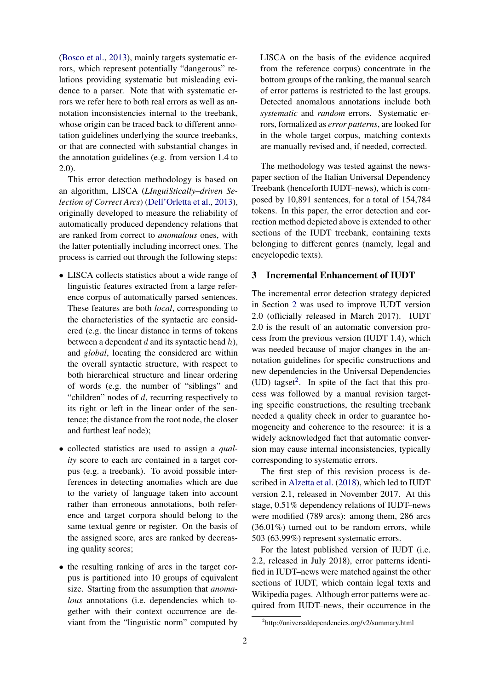[\(Bosco et al.,](#page-5-8) [2013\)](#page-5-8), mainly targets systematic errors, which represent potentially "dangerous" relations providing systematic but misleading evidence to a parser. Note that with systematic errors we refer here to both real errors as well as annotation inconsistencies internal to the treebank, whose origin can be traced back to different annotation guidelines underlying the source treebanks, or that are connected with substantial changes in the annotation guidelines (e.g. from version 1.4 to 2.0).

This error detection methodology is based on an algorithm, LISCA (*LInguiStically–driven Selection of Correct Arcs*) [\(Dell'Orletta et al.,](#page-5-9) [2013\)](#page-5-9), originally developed to measure the reliability of automatically produced dependency relations that are ranked from correct to *anomalous* ones, with the latter potentially including incorrect ones. The process is carried out through the following steps:

- LISCA collects statistics about a wide range of linguistic features extracted from a large reference corpus of automatically parsed sentences. These features are both *local*, corresponding to the characteristics of the syntactic arc considered (e.g. the linear distance in terms of tokens between a dependent  $d$  and its syntactic head  $h$ ), and *global*, locating the considered arc within the overall syntactic structure, with respect to both hierarchical structure and linear ordering of words (e.g. the number of "siblings" and "children" nodes of  $d$ , recurring respectively to its right or left in the linear order of the sentence; the distance from the root node, the closer and furthest leaf node);
- collected statistics are used to assign a *quality* score to each arc contained in a target corpus (e.g. a treebank). To avoid possible interferences in detecting anomalies which are due to the variety of language taken into account rather than erroneous annotations, both reference and target corpora should belong to the same textual genre or register. On the basis of the assigned score, arcs are ranked by decreasing quality scores;
- the resulting ranking of arcs in the target corpus is partitioned into 10 groups of equivalent size. Starting from the assumption that *anomalous* annotations (*i.e.* dependencies which together with their context occurrence are deviant from the "linguistic norm" computed by

LISCA on the basis of the evidence acquired from the reference corpus) concentrate in the bottom groups of the ranking, the manual search of error patterns is restricted to the last groups. Detected anomalous annotations include both *systematic* and *random* errors. Systematic errors, formalized as *error patterns*, are looked for in the whole target corpus, matching contexts are manually revised and, if needed, corrected.

The methodology was tested against the newspaper section of the Italian Universal Dependency Treebank (henceforth IUDT–news), which is composed by 10,891 sentences, for a total of 154,784 tokens. In this paper, the error detection and correction method depicted above is extended to other sections of the IUDT treebank, containing texts belonging to different genres (namely, legal and encyclopedic texts).

#### 3 Incremental Enhancement of IUDT

The incremental error detection strategy depicted in Section [2](#page-0-1) was used to improve IUDT version 2.0 (officially released in March 2017). IUDT 2.0 is the result of an automatic conversion process from the previous version (IUDT 1.4), which was needed because of major changes in the annotation guidelines for specific constructions and new dependencies in the Universal Dependencies  $(UD)$  tagset<sup>[2](#page-1-0)</sup>. In spite of the fact that this process was followed by a manual revision targeting specific constructions, the resulting treebank needed a quality check in order to guarantee homogeneity and coherence to the resource: it is a widely acknowledged fact that automatic conversion may cause internal inconsistencies, typically corresponding to systematic errors.

The first step of this revision process is described in [Alzetta et al.](#page-5-6) [\(2018\)](#page-5-6), which led to IUDT version 2.1, released in November 2017. At this stage, 0.51% dependency relations of IUDT–news were modified (789 arcs): among them, 286 arcs (36.01%) turned out to be random errors, while 503 (63.99%) represent systematic errors.

For the latest published version of IUDT (i.e. 2.2, released in July 2018), error patterns identified in IUDT–news were matched against the other sections of IUDT, which contain legal texts and Wikipedia pages. Although error patterns were acquired from IUDT–news, their occurrence in the

<span id="page-1-0"></span><sup>2</sup> http://universaldependencies.org/v2/summary.html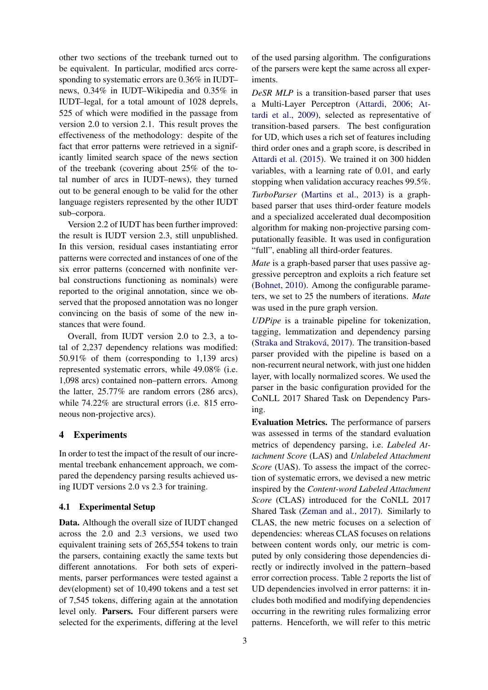other two sections of the treebank turned out to be equivalent. In particular, modified arcs corresponding to systematic errors are 0.36% in IUDT– news, 0.34% in IUDT–Wikipedia and 0.35% in IUDT–legal, for a total amount of 1028 deprels, 525 of which were modified in the passage from version 2.0 to version 2.1. This result proves the effectiveness of the methodology: despite of the fact that error patterns were retrieved in a significantly limited search space of the news section of the treebank (covering about 25% of the total number of arcs in IUDT–news), they turned out to be general enough to be valid for the other language registers represented by the other IUDT sub–corpora.

Version 2.2 of IUDT has been further improved: the result is IUDT version 2.3, still unpublished. In this version, residual cases instantiating error patterns were corrected and instances of one of the six error patterns (concerned with nonfinite verbal constructions functioning as nominals) were reported to the original annotation, since we observed that the proposed annotation was no longer convincing on the basis of some of the new instances that were found.

Overall, from IUDT version 2.0 to 2.3, a total of 2,237 dependency relations was modified: 50.91% of them (corresponding to 1,139 arcs) represented systematic errors, while 49.08% (i.e. 1,098 arcs) contained non–pattern errors. Among the latter, 25.77% are random errors (286 arcs), while 74.22% are structural errors (i.e. 815 erroneous non-projective arcs).

#### 4 Experiments

In order to test the impact of the result of our incremental treebank enhancement approach, we compared the dependency parsing results achieved using IUDT versions 2.0 vs 2.3 for training.

#### <span id="page-2-0"></span>4.1 Experimental Setup

Data. Although the overall size of IUDT changed across the 2.0 and 2.3 versions, we used two equivalent training sets of 265,554 tokens to train the parsers, containing exactly the same texts but different annotations. For both sets of experiments, parser performances were tested against a dev(elopment) set of 10,490 tokens and a test set of 7,545 tokens, differing again at the annotation level only. Parsers. Four different parsers were selected for the experiments, differing at the level of the used parsing algorithm. The configurations of the parsers were kept the same across all experiments.

*DeSR MLP* is a transition-based parser that uses a Multi-Layer Perceptron [\(Attardi,](#page-5-10) [2006;](#page-5-10) [At](#page-5-11)[tardi et al.,](#page-5-11) [2009\)](#page-5-11), selected as representative of transition-based parsers. The best configuration for UD, which uses a rich set of features including third order ones and a graph score, is described in [Attardi et al.](#page-5-12) [\(2015\)](#page-5-12). We trained it on 300 hidden variables, with a learning rate of 0.01, and early stopping when validation accuracy reaches 99.5%. *TurboParser* [\(Martins et al.,](#page-6-2) [2013\)](#page-6-2) is a graphbased parser that uses third-order feature models and a specialized accelerated dual decomposition algorithm for making non-projective parsing computationally feasible. It was used in configuration "full", enabling all third-order features.

*Mate* is a graph-based parser that uses passive aggressive perceptron and exploits a rich feature set [\(Bohnet,](#page-5-13) [2010\)](#page-5-13). Among the configurable parameters, we set to 25 the numbers of iterations. *Mate* was used in the pure graph version.

*UDPipe* is a trainable pipeline for tokenization, tagging, lemmatization and dependency parsing (Straka and Straková, [2017\)](#page-6-3). The transition-based parser provided with the pipeline is based on a non-recurrent neural network, with just one hidden layer, with locally normalized scores. We used the parser in the basic configuration provided for the CoNLL 2017 Shared Task on Dependency Parsing.

Evaluation Metrics. The performance of parsers was assessed in terms of the standard evaluation metrics of dependency parsing, i.e. *Labeled Attachment Score* (LAS) and *Unlabeled Attachment Score* (UAS). To assess the impact of the correction of systematic errors, we devised a new metric inspired by the *Content-word Labeled Attachment Score* (CLAS) introduced for the CoNLL 2017 Shared Task [\(Zeman and al.,](#page-6-4) [2017\)](#page-6-4). Similarly to CLAS, the new metric focuses on a selection of dependencies: whereas CLAS focuses on relations between content words only, our metric is computed by only considering those dependencies directly or indirectly involved in the pattern–based error correction process. Table [2](#page-4-0) reports the list of UD dependencies involved in error patterns: it includes both modified and modifying dependencies occurring in the rewriting rules formalizing error patterns. Henceforth, we will refer to this metric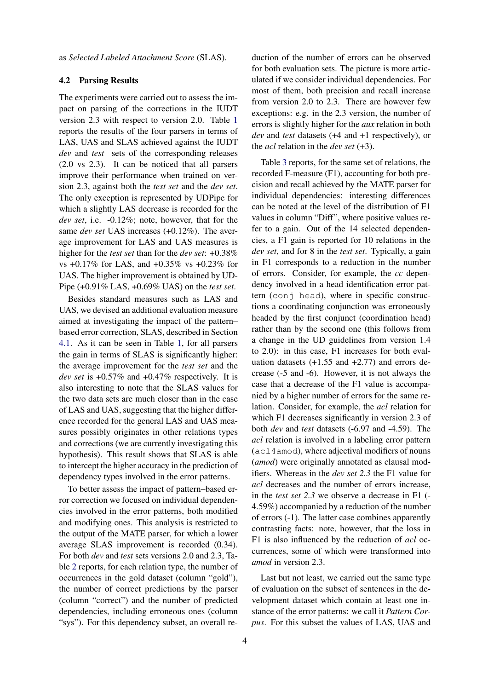as *Selected Labeled Attachment Score* (SLAS).

#### 4.2 Parsing Results

The experiments were carried out to assess the impact on parsing of the corrections in the IUDT version 2.3 with respect to version 2.0. Table [1](#page-4-1) reports the results of the four parsers in terms of LAS, UAS and SLAS achieved against the IUDT *dev* and *test* sets of the corresponding releases (2.0 vs 2.3). It can be noticed that all parsers improve their performance when trained on version 2.3, against both the *test set* and the *dev set*. The only exception is represented by UDPipe for which a slightly LAS decrease is recorded for the *dev set*, i.e. -0.12%; note, however, that for the same *dev set* UAS increases (+0.12%). The average improvement for LAS and UAS measures is higher for the *test set* than for the *dev set*: +0.38% vs +0.17% for LAS, and +0.35% vs +0.23% for UAS. The higher improvement is obtained by UD-Pipe (+0.91% LAS, +0.69% UAS) on the *test set*.

Besides standard measures such as LAS and UAS, we devised an additional evaluation measure aimed at investigating the impact of the pattern– based error correction, SLAS, described in Section [4.1.](#page-2-0) As it can be seen in Table [1,](#page-4-1) for all parsers the gain in terms of SLAS is significantly higher: the average improvement for the *test set* and the *dev set* is +0.57% and +0.47% respectively. It is also interesting to note that the SLAS values for the two data sets are much closer than in the case of LAS and UAS, suggesting that the higher difference recorded for the general LAS and UAS measures possibly originates in other relations types and corrections (we are currently investigating this hypothesis). This result shows that SLAS is able to intercept the higher accuracy in the prediction of dependency types involved in the error patterns.

To better assess the impact of pattern–based error correction we focused on individual dependencies involved in the error patterns, both modified and modifying ones. This analysis is restricted to the output of the MATE parser, for which a lower average SLAS improvement is recorded (0.34). For both *dev* and *test* sets versions 2.0 and 2.3, Table [2](#page-4-0) reports, for each relation type, the number of occurrences in the gold dataset (column "gold"), the number of correct predictions by the parser (column "correct") and the number of predicted dependencies, including erroneous ones (column "sys"). For this dependency subset, an overall re-

duction of the number of errors can be observed for both evaluation sets. The picture is more articulated if we consider individual dependencies. For most of them, both precision and recall increase from version 2.0 to 2.3. There are however few exceptions: e.g. in the 2.3 version, the number of errors is slightly higher for the *aux* relation in both *dev* and *test* datasets (+4 and +1 respectively), or the *acl* relation in the *dev set* (+3).

Table [3](#page-4-2) reports, for the same set of relations, the recorded F-measure (F1), accounting for both precision and recall achieved by the MATE parser for individual dependencies: interesting differences can be noted at the level of the distribution of F1 values in column "Diff", where positive values refer to a gain. Out of the 14 selected dependencies, a F1 gain is reported for 10 relations in the *dev set*, and for 8 in the *test set*. Typically, a gain in F1 corresponds to a reduction in the number of errors. Consider, for example, the *cc* dependency involved in a head identification error pattern (conj head), where in specific constructions a coordinating conjunction was erroneously headed by the first conjunct (coordination head) rather than by the second one (this follows from a change in the UD guidelines from version 1.4 to 2.0): in this case, F1 increases for both evaluation datasets  $(+1.55$  and  $+2.77)$  and errors decrease (-5 and -6). However, it is not always the case that a decrease of the F1 value is accompanied by a higher number of errors for the same relation. Consider, for example, the *acl* relation for which F1 decreases significantly in version 2.3 of both *dev* and *test* datasets (-6.97 and -4.59). The *acl* relation is involved in a labeling error pattern (acl4amod), where adjectival modifiers of nouns (*amod*) were originally annotated as clausal modifiers. Whereas in the *dev set 2.3* the F1 value for *acl* decreases and the number of errors increase, in the *test set 2.3* we observe a decrease in F1 (- 4.59%) accompanied by a reduction of the number of errors (-1). The latter case combines apparently contrasting facts: note, however, that the loss in F1 is also influenced by the reduction of *acl* occurrences, some of which were transformed into *amod* in version 2.3.

Last but not least, we carried out the same type of evaluation on the subset of sentences in the development dataset which contain at least one instance of the error patterns: we call it *Pattern Corpus*. For this subset the values of LAS, UAS and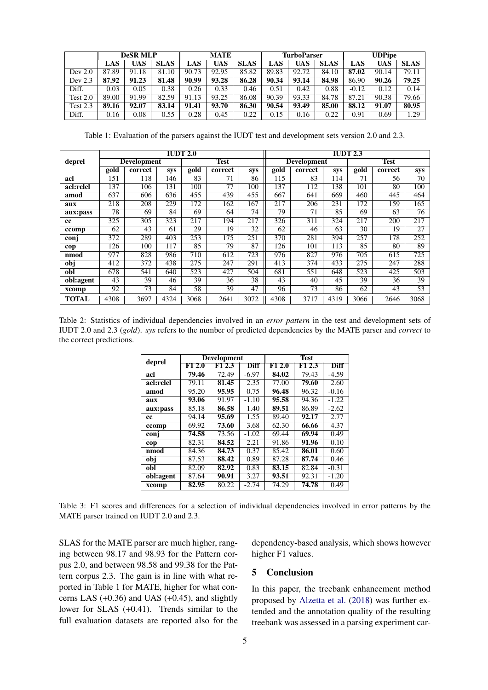|            | <b>DeSR MLP</b> |       | <b>MATE</b> |       |       | <b>TurboParser</b> |       |       | <b>UDPipe</b> |         |       |             |
|------------|-----------------|-------|-------------|-------|-------|--------------------|-------|-------|---------------|---------|-------|-------------|
|            | LAS             | UAS   | <b>SLAS</b> | LAS   | UAS   | <b>SLAS</b>        | LAS   | UAS   | <b>SLAS</b>   | LAS     | UAS   | <b>SLAS</b> |
| Dev $2.0$  | 87.89           | 91.18 | 81.10       | 90.73 | 92.95 | 85.82              | 89.83 | 92.72 | 84.10         | 87.02   | 90.14 | 79.11       |
| Dev $2.3$  | 87.92           | 91.23 | 81.48       | 90.99 | 93.28 | 86.28              | 90.34 | 93.14 | 84.98         | 86.90   | 90.26 | 79.25       |
| Diff.      | 0.03            | 0.05  | 0.38        | 0.26  | 0.33  | 0.46               | 0.51  | 0.42  | 0.88          | $-0.12$ | 0.12  | 0.14        |
| Test $2.0$ | 89.00           | 91.99 | 82.59       | 91.13 | 93.25 | 86.08              | 90.39 | 93.33 | 84.78         | 87.21   | 90.38 | 79.66       |
| Test $2.3$ | 89.16           | 92.07 | 83.14       | 91.41 | 93.70 | 86.30              | 90.54 | 93.49 | 85.00         | 88.12   | 91.07 | 80.95       |
| Diff.      | 0.16            | 0.08  | 0.55        | 0.28  | 0.45  | 0.22               | 0.15  | 0.16  | 0.22          | 0.91    | 0.69  | 1.29        |

<span id="page-4-1"></span>Table 1: Evaluation of the parsers against the IUDT test and development sets version 2.0 and 2.3.

|              | <b>IUDT 2.0</b>    |         |            |                          |         |            |                                     | <b>IUDT 2.3</b> |            |         |         |      |  |
|--------------|--------------------|---------|------------|--------------------------|---------|------------|-------------------------------------|-----------------|------------|---------|---------|------|--|
| deprel       | <b>Development</b> |         |            | <b>Test</b>              |         |            | <b>Development</b>                  |                 |            | Test    |         |      |  |
|              | gold               | correct | <b>SVS</b> | $\overline{\text{gold}}$ | correct | <b>SVS</b> | $\mathbf{g}\overline{\mathbf{old}}$ | correct         | <b>SVS</b> | $g$ old | correct | sys  |  |
| acl          | 151                | 118     | 146        | 83                       | 71      | 86         | 115                                 | 83              | 114        | 71      | 56      | 70   |  |
| acl:relcl    | 137                | 106     | 131        | 100                      | 77      | 100        | 137                                 | 112             | 138        | 101     | 80      | 100  |  |
| amod         | 637                | 606     | 636        | 455                      | 439     | 455        | 667                                 | 641             | 669        | 460     | 445     | 464  |  |
| aux          | 218                | 208     | 229        | 172                      | 162     | 167        | 217                                 | 206             | 231        | 172     | 159     | 165  |  |
| aux:pass     | 78                 | 69      | 84         | 69                       | 64      | 74         | 79                                  | $7\overline{1}$ | 85         | 69      | 63      | 76   |  |
| <b>cc</b>    | 325                | 305     | 323        | 217                      | 194     | 217        | 326                                 | 311             | 324        | 217     | 200     | 217  |  |
| ccomp        | 62                 | 43      | 61         | 29                       | 19      | 32         | 62                                  | 46              | 63         | 30      | 19      | 27   |  |
| conj         | 372                | 289     | 403        | 253                      | 175     | 251        | 370                                 | 281             | 394        | 257     | 178     | 252  |  |
| cop          | 126                | 100     | 117        | 85                       | 79      | 87         | 126                                 | 101             | 113        | 85      | 80      | 89   |  |
| nmod         | 977                | 828     | 986        | 710                      | 612     | 723        | 976                                 | 827             | 976        | 705     | 615     | 725  |  |
| obj          | 412                | 372     | 438        | 275                      | 247     | 291        | 413                                 | 374             | 433        | 275     | 247     | 288  |  |
| obl          | 678                | 541     | 640        | 523                      | 427     | 504        | 681                                 | 551             | 648        | 523     | 425     | 503  |  |
| obl:agent    | 43                 | 39      | 46         | 39                       | 36      | 38         | 43                                  | 40              | 45         | 39      | 36      | 39   |  |
| xcomp        | 92                 | 73      | 84         | 58                       | 39      | 47         | 96                                  | 73              | 86         | 62      | 43      | 53   |  |
| <b>TOTAL</b> | 4308               | 3697    | 4324       | 3068                     | 2641    | 3072       | 4308                                | 3717            | 4319       | 3066    | 2646    | 3068 |  |

<span id="page-4-0"></span>Table 2: Statistics of individual dependencies involved in an *error pattern* in the test and development sets of IUDT 2.0 and 2.3 (*gold*). *sys* refers to the number of predicted dependencies by the MATE parser and *correct* to the correct predictions.

| deprel    |       | <b>Development</b> |             | <b>Test</b> |        |             |  |  |
|-----------|-------|--------------------|-------------|-------------|--------|-------------|--|--|
|           | F12.0 | F1 2.3             | <b>Diff</b> | F12.0       | F1 2.3 | <b>Diff</b> |  |  |
| acl       | 79.46 | 72.49              | $-6.97$     | 84.02       | 79.43  | $-4.59$     |  |  |
| acl:relcl | 79.11 | 81.45              | 2.35        | 77.00       | 79.60  | 2.60        |  |  |
| amod      | 95.20 | 95.95              | 0.75        | 96.48       | 96.32  | $-0.16$     |  |  |
| aux       | 93.06 | 91.97              | $-1.10$     | 95.58       | 94.36  | $-1.22$     |  |  |
| aux:pass  | 85.18 | 86.58              | 1.40        | 89.51       | 86.89  | $-2.62$     |  |  |
| cc        | 94.14 | 95.69              | 1.55        | 89.40       | 92.17  | 2.77        |  |  |
| ccomp     | 69.92 | 73.60              | 3.68        | 62.30       | 66.66  | 4.37        |  |  |
| conj      | 74.58 | 73.56              | $-1.02$     | 69.44       | 69.94  | 0.49        |  |  |
| cop       | 82.31 | 84.52              | 2.21        | 91.86       | 91.96  | 0.10        |  |  |
| nmod      | 84.36 | 84.73              | 0.37        | 85.42       | 86.01  | 0.60        |  |  |
| obj       | 87.53 | 88.42              | 0.89        | 87.28       | 87.74  | 0.46        |  |  |
| obl       | 82.09 | 82.92              | 0.83        | 83.15       | 82.84  | $-0.31$     |  |  |
| obl:agent | 87.64 | 90.91              | 3.27        | 93.51       | 92.31  | $-1.20$     |  |  |
| xcomp     | 82.95 | 80.22              | $-2.74$     | 74.29       | 74.78  | 0.49        |  |  |

<span id="page-4-2"></span>Table 3: F1 scores and differences for a selection of individual dependencies involved in error patterns by the MATE parser trained on IUDT 2.0 and 2.3.

SLAS for the MATE parser are much higher, ranging between 98.17 and 98.93 for the Pattern corpus 2.0, and between 98.58 and 99.38 for the Pattern corpus 2.3. The gain is in line with what reported in Table 1 for MATE, higher for what concerns LAS (+0.36) and UAS (+0.45), and slightly lower for SLAS (+0.41). Trends similar to the full evaluation datasets are reported also for the dependency-based analysis, which shows however higher F1 values.

### 5 Conclusion

In this paper, the treebank enhancement method proposed by [Alzetta et al.](#page-5-6) [\(2018\)](#page-5-6) was further extended and the annotation quality of the resulting treebank was assessed in a parsing experiment car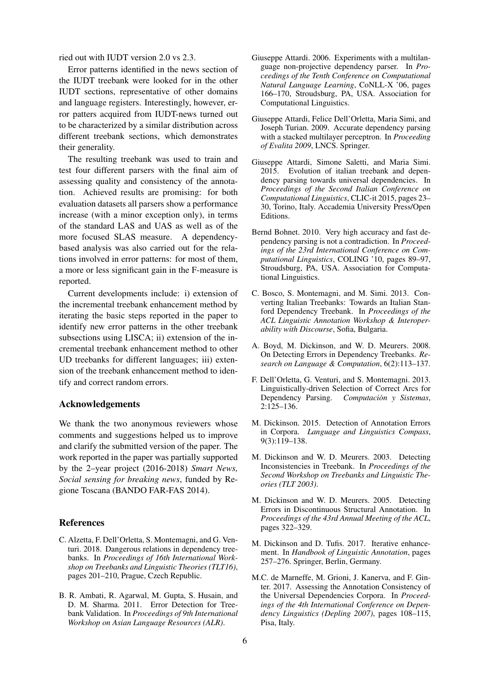ried out with IUDT version 2.0 vs 2.3.

Error patterns identified in the news section of the IUDT treebank were looked for in the other IUDT sections, representative of other domains and language registers. Interestingly, however, error patters acquired from IUDT-news turned out to be characterized by a similar distribution across different treebank sections, which demonstrates their generality.

The resulting treebank was used to train and test four different parsers with the final aim of assessing quality and consistency of the annotation. Achieved results are promising: for both evaluation datasets all parsers show a performance increase (with a minor exception only), in terms of the standard LAS and UAS as well as of the more focused SLAS measure. A dependencybased analysis was also carried out for the relations involved in error patterns: for most of them, a more or less significant gain in the F-measure is reported.

Current developments include: i) extension of the incremental treebank enhancement method by iterating the basic steps reported in the paper to identify new error patterns in the other treebank subsections using LISCA; ii) extension of the incremental treebank enhancement method to other UD treebanks for different languages; iii) extension of the treebank enhancement method to identify and correct random errors.

#### Acknowledgements

We thank the two anonymous reviewers whose comments and suggestions helped us to improve and clarify the submitted version of the paper. The work reported in the paper was partially supported by the 2–year project (2016-2018) *Smart News, Social sensing for breaking news*, funded by Regione Toscana (BANDO FAR-FAS 2014).

#### **References**

- <span id="page-5-6"></span>C. Alzetta, F. Dell'Orletta, S. Montemagni, and G. Venturi. 2018. Dangerous relations in dependency treebanks. In *Proceedings of 16th International Workshop on Treebanks and Linguistic Theories (TLT16)*, pages 201–210, Prague, Czech Republic.
- <span id="page-5-4"></span>B. R. Ambati, R. Agarwal, M. Gupta, S. Husain, and D. M. Sharma. 2011. Error Detection for Treebank Validation. In *Proceedings of 9th International Workshop on Asian Language Resources (ALR)*.
- <span id="page-5-10"></span>Giuseppe Attardi. 2006. Experiments with a multilanguage non-projective dependency parser. In *Proceedings of the Tenth Conference on Computational Natural Language Learning*, CoNLL-X '06, pages 166–170, Stroudsburg, PA, USA. Association for Computational Linguistics.
- <span id="page-5-11"></span>Giuseppe Attardi, Felice Dell'Orletta, Maria Simi, and Joseph Turian. 2009. Accurate dependency parsing with a stacked multilayer perceptron. In *Proceeding of Evalita 2009*, LNCS. Springer.
- <span id="page-5-12"></span>Giuseppe Attardi, Simone Saletti, and Maria Simi. 2015. Evolution of italian treebank and dependency parsing towards universal dependencies. In *Proceedings of the Second Italian Conference on Computational Linguistics*, CLIC-it 2015, pages 23– 30, Torino, Italy. Accademia University Press/Open Editions.
- <span id="page-5-13"></span>Bernd Bohnet. 2010. Very high accuracy and fast dependency parsing is not a contradiction. In *Proceedings of the 23rd International Conference on Computational Linguistics*, COLING '10, pages 89–97, Stroudsburg, PA, USA. Association for Computational Linguistics.
- <span id="page-5-8"></span>C. Bosco, S. Montemagni, and M. Simi. 2013. Converting Italian Treebanks: Towards an Italian Stanford Dependency Treebank. In *Proceedings of the ACL Linguistic Annotation Workshop & Interoperability with Discourse*, Sofia, Bulgaria.
- <span id="page-5-3"></span>A. Boyd, M. Dickinson, and W. D. Meurers. 2008. On Detecting Errors in Dependency Treebanks. *Research on Language & Computation*, 6(2):113–137.
- <span id="page-5-9"></span>F. Dell'Orletta, G. Venturi, and S. Montemagni. 2013. Linguistically-driven Selection of Correct Arcs for Dependency Parsing. *Computacion y Sistemas `* , 2:125–136.
- <span id="page-5-0"></span>M. Dickinson. 2015. Detection of Annotation Errors in Corpora. *Language and Linguistics Compass*, 9(3):119–138.
- <span id="page-5-1"></span>M. Dickinson and W. D. Meurers. 2003. Detecting Inconsistencies in Treebank. In *Proceedings of the Second Workshop on Treebanks and Linguistic Theories (TLT 2003)*.
- <span id="page-5-2"></span>M. Dickinson and W. D. Meurers. 2005. Detecting Errors in Discontinuous Structural Annotation. In *Proceedings of the 43rd Annual Meeting of the ACL*, pages 322–329.
- <span id="page-5-7"></span>M. Dickinson and D. Tufis. 2017. Iterative enhancement. In *Handbook of Linguistic Annotation*, pages 257–276. Springer, Berlin, Germany.
- <span id="page-5-5"></span>M.C. de Marneffe, M. Grioni, J. Kanerva, and F. Ginter. 2017. Assessing the Annotation Consistency of the Universal Dependencies Corpora. In *Proceedings of the 4th International Conference on Dependency Linguistics (Depling 2007)*, pages 108–115, Pisa, Italy.